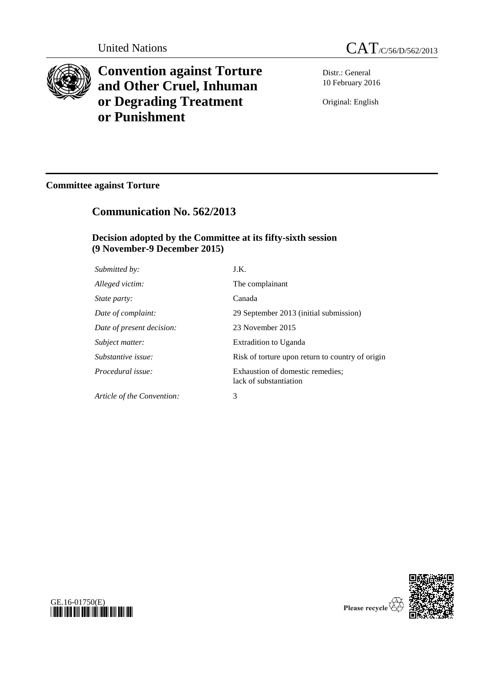

**Convention against Torture and Other Cruel, Inhuman or Degrading Treatment or Punishment**

Distr.: General 10 February 2016

Original: English

# **Committee against Torture**

# **Communication No. 562/2013**

# **Decision adopted by the Committee at its fifty-sixth session (9 November-9 December 2015)**

| Submitted by:              | J.K.                                                       |
|----------------------------|------------------------------------------------------------|
| Alleged victim:            | The complainant                                            |
| <i>State party:</i>        | Canada                                                     |
| Date of complaint:         | 29 September 2013 (initial submission)                     |
| Date of present decision:  | 23 November 2015                                           |
| Subject matter:            | <b>Extradition to Uganda</b>                               |
| Substantive issue:         | Risk of torture upon return to country of origin           |
| Procedural issue:          | Exhaustion of domestic remedies;<br>lack of substantiation |
| Article of the Convention: | 3                                                          |



Please recycle

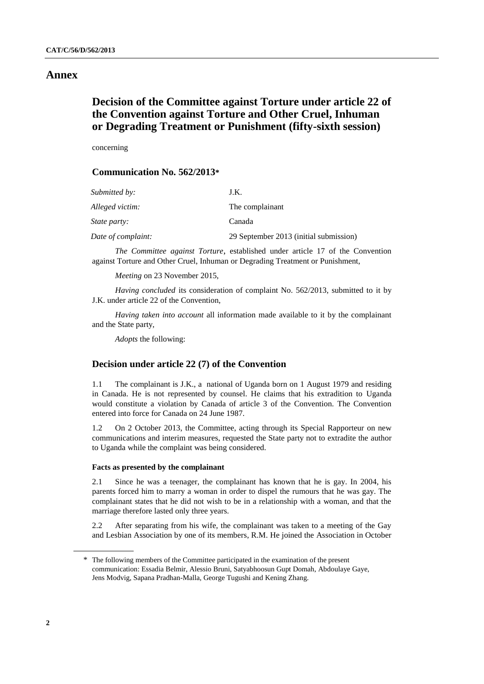# **Annex**

# **Decision of the Committee against Torture under article 22 of the Convention against Torture and Other Cruel, Inhuman or Degrading Treatment or Punishment (fifty-sixth session)**

concerning

# **Communication No. 562/2013\***

| Submitted by:       | J.K.                                   |
|---------------------|----------------------------------------|
| Alleged victim:     | The complainant                        |
| <i>State party:</i> | Canada                                 |
| Date of complaint:  | 29 September 2013 (initial submission) |

*The Committee against Torture*, established under article 17 of the Convention against Torture and Other Cruel, Inhuman or Degrading Treatment or Punishment,

*Meeting* on 23 November 2015,

*Having concluded* its consideration of complaint No. 562/2013, submitted to it by J.K. under article 22 of the Convention,

*Having taken into account* all information made available to it by the complainant and the State party,

*Adopts* the following:

## **Decision under article 22 (7) of the Convention**

1.1 The complainant is J.K., a national of Uganda born on 1 August 1979 and residing in Canada. He is not represented by counsel. He claims that his extradition to Uganda would constitute a violation by Canada of article 3 of the Convention. The Convention entered into force for Canada on 24 June 1987.

1.2 On 2 October 2013, the Committee, acting through its Special Rapporteur on new communications and interim measures, requested the State party not to extradite the author to Uganda while the complaint was being considered.

### **Facts as presented by the complainant**

2.1 Since he was a teenager, the complainant has known that he is gay. In 2004, his parents forced him to marry a woman in order to dispel the rumours that he was gay. The complainant states that he did not wish to be in a relationship with a woman, and that the marriage therefore lasted only three years.

2.2 After separating from his wife, the complainant was taken to a meeting of the Gay and Lesbian Association by one of its members, R.M. He joined the Association in October

<sup>\*</sup> The following members of the Committee participated in the examination of the present communication: Essadia Belmir, Alessio Bruni, Satyabhoosun Gupt Domah, Abdoulaye Gaye, Jens Modvig, Sapana Pradhan-Malla, George Tugushi and Kening Zhang.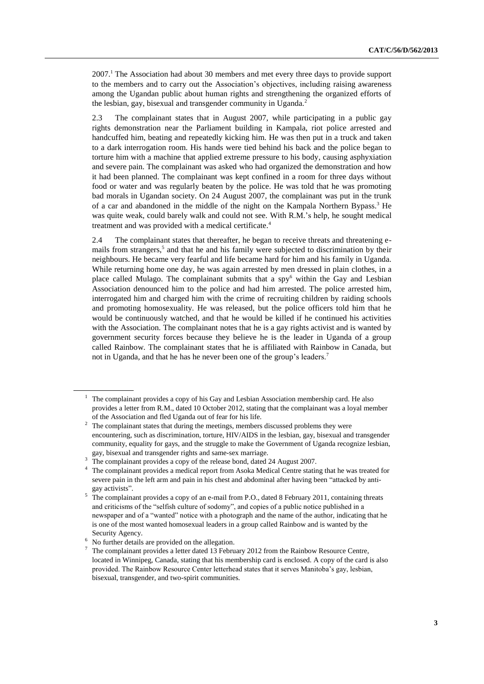2007.<sup>1</sup> The Association had about 30 members and met every three days to provide support to the members and to carry out the Association's objectives, including raising awareness among the Ugandan public about human rights and strengthening the organized efforts of the lesbian, gay, bisexual and transgender community in Uganda.<sup>2</sup>

2.3 The complainant states that in August 2007, while participating in a public gay rights demonstration near the Parliament building in Kampala, riot police arrested and handcuffed him, beating and repeatedly kicking him. He was then put in a truck and taken to a dark interrogation room. His hands were tied behind his back and the police began to torture him with a machine that applied extreme pressure to his body, causing asphyxiation and severe pain. The complainant was asked who had organized the demonstration and how it had been planned. The complainant was kept confined in a room for three days without food or water and was regularly beaten by the police. He was told that he was promoting bad morals in Ugandan society. On 24 August 2007, the complainant was put in the trunk of a car and abandoned in the middle of the night on the Kampala Northern Bypass.<sup>3</sup> He was quite weak, could barely walk and could not see. With R.M.'s help, he sought medical treatment and was provided with a medical certificate. 4

2.4 The complainant states that thereafter, he began to receive threats and threatening emails from strangers,<sup>5</sup> and that he and his family were subjected to discrimination by their neighbours. He became very fearful and life became hard for him and his family in Uganda. While returning home one day, he was again arrested by men dressed in plain clothes, in a place called Mulago. The complainant submits that a  $spy^6$  within the Gay and Lesbian Association denounced him to the police and had him arrested. The police arrested him, interrogated him and charged him with the crime of recruiting children by raiding schools and promoting homosexuality. He was released, but the police officers told him that he would be continuously watched, and that he would be killed if he continued his activities with the Association. The complainant notes that he is a gay rights activist and is wanted by government security forces because they believe he is the leader in Uganda of a group called Rainbow. The complainant states that he is affiliated with Rainbow in Canada, but not in Uganda, and that he has he never been one of the group's leaders.<sup>7</sup>

 $<sup>1</sup>$  The complainant provides a copy of his Gay and Lesbian Association membership card. He also</sup> provides a letter from R.M., dated 10 October 2012, stating that the complainant was a loyal member of the Association and fled Uganda out of fear for his life.

<sup>&</sup>lt;sup>2</sup> The complainant states that during the meetings, members discussed problems they were encountering, such as discrimination, torture, HIV/AIDS in the lesbian, gay, bisexual and transgender community, equality for gays, and the struggle to make the Government of Uganda recognize lesbian, gay, bisexual and transgender rights and same-sex marriage.

<sup>&</sup>lt;sup>3</sup> The complainant provides a copy of the release bond, dated 24 August 2007.

<sup>4</sup> The complainant provides a medical report from Asoka Medical Centre stating that he was treated for severe pain in the left arm and pain in his chest and abdominal after having been "attacked by antigay activists".

<sup>&</sup>lt;sup>5</sup> The complainant provides a copy of an e-mail from P.O., dated 8 February 2011, containing threats and criticisms of the "selfish culture of sodomy", and copies of a public notice published in a newspaper and of a "wanted" notice with a photograph and the name of the author, indicating that he is one of the most wanted homosexual leaders in a group called Rainbow and is wanted by the Security Agency.

 $6\,$  No further details are provided on the allegation.

The complainant provides a letter dated 13 February 2012 from the Rainbow Resource Centre, located in Winnipeg, Canada, stating that his membership card is enclosed. A copy of the card is also provided. The Rainbow Resource Center letterhead states that it serves Manitoba's gay, lesbian, bisexual, transgender, and two-spirit communities.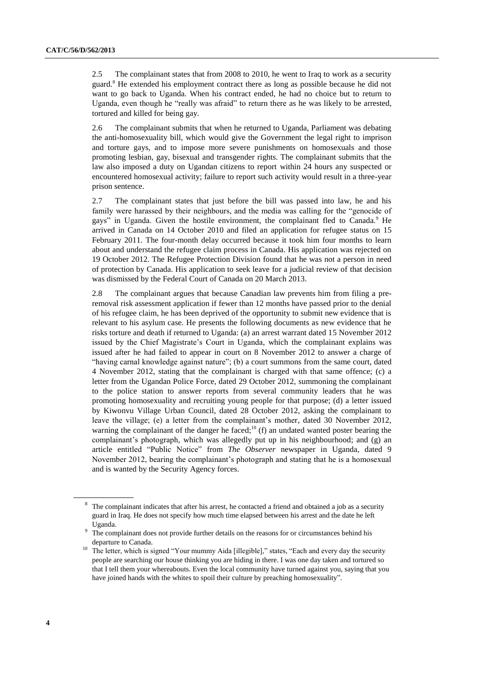2.5 The complainant states that from 2008 to 2010, he went to Iraq to work as a security guard.<sup>8</sup> He extended his employment contract there as long as possible because he did not want to go back to Uganda. When his contract ended, he had no choice but to return to Uganda, even though he "really was afraid" to return there as he was likely to be arrested, tortured and killed for being gay.

2.6 The complainant submits that when he returned to Uganda, Parliament was debating the anti-homosexuality bill, which would give the Government the legal right to imprison and torture gays, and to impose more severe punishments on homosexuals and those promoting lesbian, gay, bisexual and transgender rights. The complainant submits that the law also imposed a duty on Ugandan citizens to report within 24 hours any suspected or encountered homosexual activity; failure to report such activity would result in a three-year prison sentence.

2.7 The complainant states that just before the bill was passed into law, he and his family were harassed by their neighbours, and the media was calling for the "genocide of gays" in Uganda. Given the hostile environment, the complainant fled to Canada.<sup>9</sup> He arrived in Canada on 14 October 2010 and filed an application for refugee status on 15 February 2011. The four-month delay occurred because it took him four months to learn about and understand the refugee claim process in Canada. His application was rejected on 19 October 2012. The Refugee Protection Division found that he was not a person in need of protection by Canada. His application to seek leave for a judicial review of that decision was dismissed by the Federal Court of Canada on 20 March 2013.

2.8 The complainant argues that because Canadian law prevents him from filing a preremoval risk assessment application if fewer than 12 months have passed prior to the denial of his refugee claim, he has been deprived of the opportunity to submit new evidence that is relevant to his asylum case. He presents the following documents as new evidence that he risks torture and death if returned to Uganda: (a) an arrest warrant dated 15 November 2012 issued by the Chief Magistrate's Court in Uganda, which the complainant explains was issued after he had failed to appear in court on 8 November 2012 to answer a charge of "having carnal knowledge against nature"; (b) a court summons from the same court, dated 4 November 2012, stating that the complainant is charged with that same offence; (c) a letter from the Ugandan Police Force, dated 29 October 2012, summoning the complainant to the police station to answer reports from several community leaders that he was promoting homosexuality and recruiting young people for that purpose; (d) a letter issued by Kiwonvu Village Urban Council, dated 28 October 2012, asking the complainant to leave the village; (e) a letter from the complainant's mother, dated 30 November 2012, warning the complainant of the danger he faced; $^{10}$  (f) an undated wanted poster bearing the complainant's photograph, which was allegedly put up in his neighbourhood; and (g) an article entitled "Public Notice" from *The Observer* newspaper in Uganda, dated 9 November 2012, bearing the complainant's photograph and stating that he is a homosexual and is wanted by the Security Agency forces.

<sup>&</sup>lt;sup>8</sup> The complainant indicates that after his arrest, he contacted a friend and obtained a job as a security guard in Iraq. He does not specify how much time elapsed between his arrest and the date he left Uganda.

<sup>&</sup>lt;sup>9</sup> The complainant does not provide further details on the reasons for or circumstances behind his departure to Canada.

<sup>&</sup>lt;sup>10</sup> The letter, which is signed "Your mummy Aida [illegible]," states, "Each and every day the security people are searching our house thinking you are hiding in there. I was one day taken and tortured so that I tell them your whereabouts. Even the local community have turned against you, saying that you have joined hands with the whites to spoil their culture by preaching homosexuality".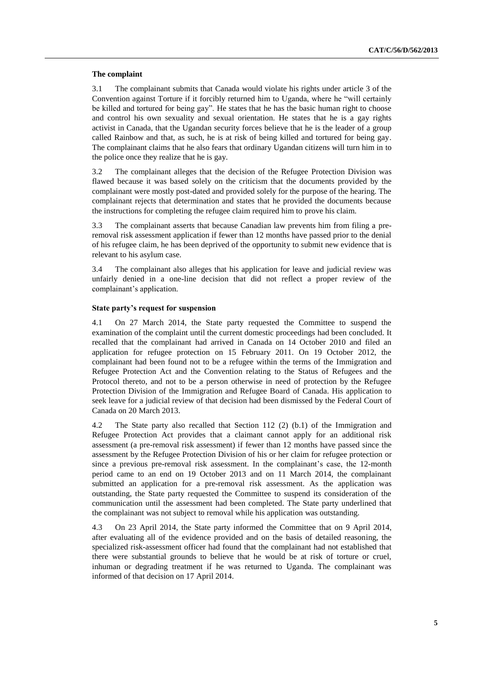## **The complaint**

3.1 The complainant submits that Canada would violate his rights under article 3 of the Convention against Torture if it forcibly returned him to Uganda, where he "will certainly be killed and tortured for being gay". He states that he has the basic human right to choose and control his own sexuality and sexual orientation. He states that he is a gay rights activist in Canada, that the Ugandan security forces believe that he is the leader of a group called Rainbow and that, as such, he is at risk of being killed and tortured for being gay. The complainant claims that he also fears that ordinary Ugandan citizens will turn him in to the police once they realize that he is gay.

3.2 The complainant alleges that the decision of the Refugee Protection Division was flawed because it was based solely on the criticism that the documents provided by the complainant were mostly post-dated and provided solely for the purpose of the hearing. The complainant rejects that determination and states that he provided the documents because the instructions for completing the refugee claim required him to prove his claim.

3.3 The complainant asserts that because Canadian law prevents him from filing a preremoval risk assessment application if fewer than 12 months have passed prior to the denial of his refugee claim, he has been deprived of the opportunity to submit new evidence that is relevant to his asylum case.

3.4 The complainant also alleges that his application for leave and judicial review was unfairly denied in a one-line decision that did not reflect a proper review of the complainant's application.

## **State party's request for suspension**

4.1 On 27 March 2014, the State party requested the Committee to suspend the examination of the complaint until the current domestic proceedings had been concluded. It recalled that the complainant had arrived in Canada on 14 October 2010 and filed an application for refugee protection on 15 February 2011. On 19 October 2012, the complainant had been found not to be a refugee within the terms of the Immigration and Refugee Protection Act and the Convention relating to the Status of Refugees and the Protocol thereto, and not to be a person otherwise in need of protection by the Refugee Protection Division of the Immigration and Refugee Board of Canada. His application to seek leave for a judicial review of that decision had been dismissed by the Federal Court of Canada on 20 March 2013.

4.2 The State party also recalled that Section 112 (2) (b.1) of the Immigration and Refugee Protection Act provides that a claimant cannot apply for an additional risk assessment (a pre-removal risk assessment) if fewer than 12 months have passed since the assessment by the Refugee Protection Division of his or her claim for refugee protection or since a previous pre-removal risk assessment. In the complainant's case, the 12-month period came to an end on 19 October 2013 and on 11 March 2014, the complainant submitted an application for a pre-removal risk assessment. As the application was outstanding, the State party requested the Committee to suspend its consideration of the communication until the assessment had been completed. The State party underlined that the complainant was not subject to removal while his application was outstanding.

4.3 On 23 April 2014, the State party informed the Committee that on 9 April 2014, after evaluating all of the evidence provided and on the basis of detailed reasoning, the specialized risk-assessment officer had found that the complainant had not established that there were substantial grounds to believe that he would be at risk of torture or cruel, inhuman or degrading treatment if he was returned to Uganda. The complainant was informed of that decision on 17 April 2014.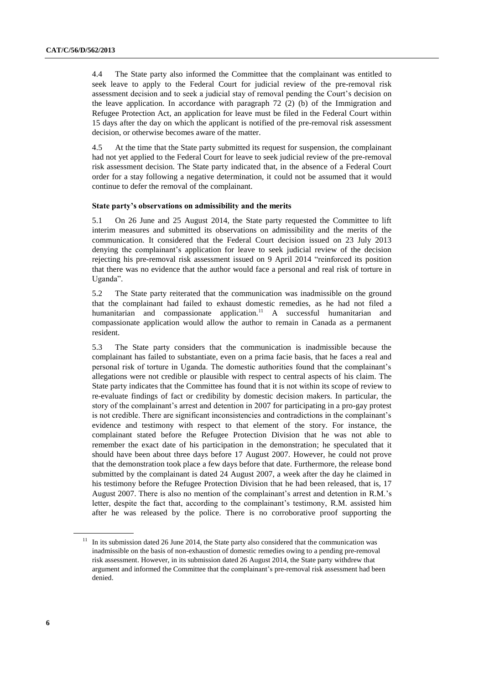4.4 The State party also informed the Committee that the complainant was entitled to seek leave to apply to the Federal Court for judicial review of the pre-removal risk assessment decision and to seek a judicial stay of removal pending the Court's decision on the leave application. In accordance with paragraph 72 (2) (b) of the Immigration and Refugee Protection Act, an application for leave must be filed in the Federal Court within 15 days after the day on which the applicant is notified of the pre-removal risk assessment decision, or otherwise becomes aware of the matter.

4.5 At the time that the State party submitted its request for suspension, the complainant had not yet applied to the Federal Court for leave to seek judicial review of the pre-removal risk assessment decision. The State party indicated that, in the absence of a Federal Court order for a stay following a negative determination, it could not be assumed that it would continue to defer the removal of the complainant.

#### **State party's observations on admissibility and the merits**

5.1 On 26 June and 25 August 2014, the State party requested the Committee to lift interim measures and submitted its observations on admissibility and the merits of the communication. It considered that the Federal Court decision issued on 23 July 2013 denying the complainant's application for leave to seek judicial review of the decision rejecting his pre-removal risk assessment issued on 9 April 2014 "reinforced its position that there was no evidence that the author would face a personal and real risk of torture in Uganda".

5.2 The State party reiterated that the communication was inadmissible on the ground that the complainant had failed to exhaust domestic remedies, as he had not filed a humanitarian and compassionate application.<sup>11</sup> A successful humanitarian and compassionate application would allow the author to remain in Canada as a permanent resident.

5.3 The State party considers that the communication is inadmissible because the complainant has failed to substantiate, even on a prima facie basis, that he faces a real and personal risk of torture in Uganda. The domestic authorities found that the complainant's allegations were not credible or plausible with respect to central aspects of his claim. The State party indicates that the Committee has found that it is not within its scope of review to re-evaluate findings of fact or credibility by domestic decision makers. In particular, the story of the complainant's arrest and detention in 2007 for participating in a pro-gay protest is not credible. There are significant inconsistencies and contradictions in the complainant's evidence and testimony with respect to that element of the story. For instance, the complainant stated before the Refugee Protection Division that he was not able to remember the exact date of his participation in the demonstration; he speculated that it should have been about three days before 17 August 2007. However, he could not prove that the demonstration took place a few days before that date. Furthermore, the release bond submitted by the complainant is dated 24 August 2007, a week after the day he claimed in his testimony before the Refugee Protection Division that he had been released, that is, 17 August 2007. There is also no mention of the complainant's arrest and detention in R.M.'s letter, despite the fact that, according to the complainant's testimony, R.M. assisted him after he was released by the police. There is no corroborative proof supporting the

 $11$  In its submission dated 26 June 2014, the State party also considered that the communication was inadmissible on the basis of non-exhaustion of domestic remedies owing to a pending pre-removal risk assessment. However, in its submission dated 26 August 2014, the State party withdrew that argument and informed the Committee that the complainant's pre-removal risk assessment had been denied.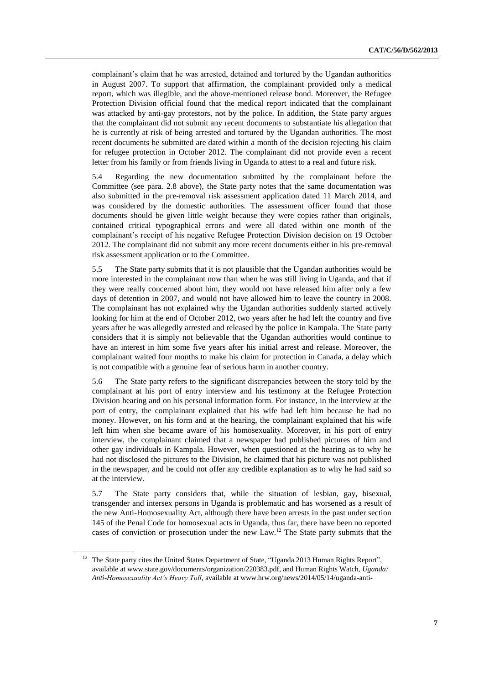complainant's claim that he was arrested, detained and tortured by the Ugandan authorities in August 2007. To support that affirmation, the complainant provided only a medical report, which was illegible, and the above-mentioned release bond. Moreover, the Refugee Protection Division official found that the medical report indicated that the complainant was attacked by anti-gay protestors, not by the police. In addition, the State party argues that the complainant did not submit any recent documents to substantiate his allegation that he is currently at risk of being arrested and tortured by the Ugandan authorities. The most recent documents he submitted are dated within a month of the decision rejecting his claim for refugee protection in October 2012. The complainant did not provide even a recent letter from his family or from friends living in Uganda to attest to a real and future risk.

5.4 Regarding the new documentation submitted by the complainant before the Committee (see para. 2.8 above), the State party notes that the same documentation was also submitted in the pre-removal risk assessment application dated 11 March 2014, and was considered by the domestic authorities. The assessment officer found that those documents should be given little weight because they were copies rather than originals, contained critical typographical errors and were all dated within one month of the complainant's receipt of his negative Refugee Protection Division decision on 19 October 2012. The complainant did not submit any more recent documents either in his pre-removal risk assessment application or to the Committee.

5.5 The State party submits that it is not plausible that the Ugandan authorities would be more interested in the complainant now than when he was still living in Uganda, and that if they were really concerned about him, they would not have released him after only a few days of detention in 2007, and would not have allowed him to leave the country in 2008. The complainant has not explained why the Ugandan authorities suddenly started actively looking for him at the end of October 2012, two years after he had left the country and five years after he was allegedly arrested and released by the police in Kampala. The State party considers that it is simply not believable that the Ugandan authorities would continue to have an interest in him some five years after his initial arrest and release. Moreover, the complainant waited four months to make his claim for protection in Canada, a delay which is not compatible with a genuine fear of serious harm in another country.

5.6 The State party refers to the significant discrepancies between the story told by the complainant at his port of entry interview and his testimony at the Refugee Protection Division hearing and on his personal information form. For instance, in the interview at the port of entry, the complainant explained that his wife had left him because he had no money. However, on his form and at the hearing, the complainant explained that his wife left him when she became aware of his homosexuality. Moreover, in his port of entry interview, the complainant claimed that a newspaper had published pictures of him and other gay individuals in Kampala. However, when questioned at the hearing as to why he had not disclosed the pictures to the Division, he claimed that his picture was not published in the newspaper, and he could not offer any credible explanation as to why he had said so at the interview.

5.7 The State party considers that, while the situation of lesbian, gay, bisexual, transgender and intersex persons in Uganda is problematic and has worsened as a result of the new Anti-Homosexuality Act, although there have been arrests in the past under section 145 of the Penal Code for homosexual acts in Uganda, thus far, there have been no reported cases of conviction or prosecution under the new Law.<sup>12</sup> The State party submits that the

<sup>&</sup>lt;sup>12</sup> The State party cites the United States Department of State, "Uganda 2013 Human Rights Report", available at www.state.gov/documents/organization/220383.pdf, and Human Rights Watch, *Uganda: Anti-Homosexuality Act's Heavy Toll*, available at www.hrw.org/news/2014/05/14/uganda-anti-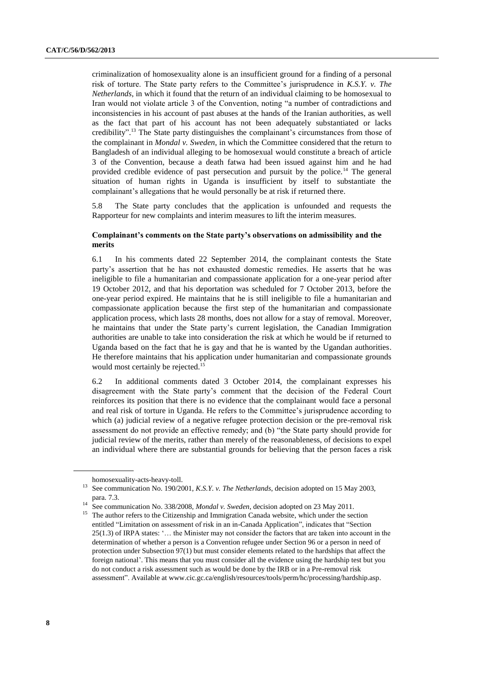criminalization of homosexuality alone is an insufficient ground for a finding of a personal risk of torture. The State party refers to the Committee's jurisprudence in *K.S.Y. v. The Netherlands*, in which it found that the return of an individual claiming to be homosexual to Iran would not violate article 3 of the Convention, noting "a number of contradictions and inconsistencies in his account of past abuses at the hands of the Iranian authorities, as well as the fact that part of his account has not been adequately substantiated or lacks credibility".<sup>13</sup> The State party distinguishes the complainant's circumstances from those of the complainant in *Mondal v. Sweden*, in which the Committee considered that the return to Bangladesh of an individual alleging to be homosexual would constitute a breach of article 3 of the Convention, because a death fatwa had been issued against him and he had provided credible evidence of past persecution and pursuit by the police.<sup>14</sup> The general situation of human rights in Uganda is insufficient by itself to substantiate the complainant's allegations that he would personally be at risk if returned there.

5.8 The State party concludes that the application is unfounded and requests the Rapporteur for new complaints and interim measures to lift the interim measures.

# **Complainant's comments on the State party's observations on admissibility and the merits**

6.1 In his comments dated 22 September 2014, the complainant contests the State party's assertion that he has not exhausted domestic remedies. He asserts that he was ineligible to file a humanitarian and compassionate application for a one-year period after 19 October 2012, and that his deportation was scheduled for 7 October 2013, before the one-year period expired. He maintains that he is still ineligible to file a humanitarian and compassionate application because the first step of the humanitarian and compassionate application process, which lasts 28 months, does not allow for a stay of removal. Moreover, he maintains that under the State party's current legislation, the Canadian Immigration authorities are unable to take into consideration the risk at which he would be if returned to Uganda based on the fact that he is gay and that he is wanted by the Ugandan authorities. He therefore maintains that his application under humanitarian and compassionate grounds would most certainly be rejected.<sup>15</sup>

6.2 In additional comments dated 3 October 2014, the complainant expresses his disagreement with the State party's comment that the decision of the Federal Court reinforces its position that there is no evidence that the complainant would face a personal and real risk of torture in Uganda. He refers to the Committee's jurisprudence according to which (a) judicial review of a negative refugee protection decision or the pre-removal risk assessment do not provide an effective remedy; and (b) "the State party should provide for judicial review of the merits, rather than merely of the reasonableness, of decisions to expel an individual where there are substantial grounds for believing that the person faces a risk

homosexuality-acts-heavy-toll.

<sup>&</sup>lt;sup>13</sup> See communication No. 190/2001, *K.S.Y. v. The Netherlands*, decision adopted on 15 May 2003, para. 7.3.

See communication No. 338/2008, *Mondal v. Sweden*, decision adopted on 23 May 2011.

<sup>&</sup>lt;sup>15</sup> The author refers to the Citizenship and Immigration Canada website, which under the section entitled "Limitation on assessment of risk in an in-Canada Application", indicates that "Section 25(1.3) of IRPA states: '… the Minister may not consider the factors that are taken into account in the determination of whether a person is a Convention refugee under Section 96 or a person in need of protection under Subsection 97(1) but must consider elements related to the hardships that affect the foreign national'. This means that you must consider all the evidence using the hardship test but you do not conduct a risk assessment such as would be done by the IRB or in a Pre-removal risk assessment". Available at www.cic.gc.ca/english/resources/tools/perm/hc/processing/hardship.asp.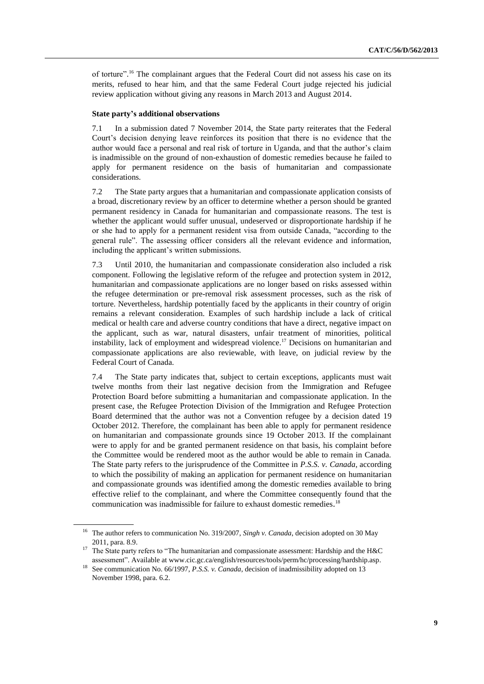of torture".<sup>16</sup> The complainant argues that the Federal Court did not assess his case on its merits, refused to hear him, and that the same Federal Court judge rejected his judicial review application without giving any reasons in March 2013 and August 2014.

#### **State party's additional observations**

7.1 In a submission dated 7 November 2014, the State party reiterates that the Federal Court's decision denying leave reinforces its position that there is no evidence that the author would face a personal and real risk of torture in Uganda, and that the author's claim is inadmissible on the ground of non-exhaustion of domestic remedies because he failed to apply for permanent residence on the basis of humanitarian and compassionate considerations.

7.2 The State party argues that a humanitarian and compassionate application consists of a broad, discretionary review by an officer to determine whether a person should be granted permanent residency in Canada for humanitarian and compassionate reasons. The test is whether the applicant would suffer unusual, undeserved or disproportionate hardship if he or she had to apply for a permanent resident visa from outside Canada, "according to the general rule". The assessing officer considers all the relevant evidence and information, including the applicant's written submissions.

7.3 Until 2010, the humanitarian and compassionate consideration also included a risk component. Following the legislative reform of the refugee and protection system in 2012, humanitarian and compassionate applications are no longer based on risks assessed within the refugee determination or pre-removal risk assessment processes, such as the risk of torture. Nevertheless, hardship potentially faced by the applicants in their country of origin remains a relevant consideration. Examples of such hardship include a lack of critical medical or health care and adverse country conditions that have a direct, negative impact on the applicant, such as war, natural disasters, unfair treatment of minorities, political instability, lack of employment and widespread violence.<sup>17</sup> Decisions on humanitarian and compassionate applications are also reviewable, with leave, on judicial review by the Federal Court of Canada.

7.4 The State party indicates that, subject to certain exceptions, applicants must wait twelve months from their last negative decision from the Immigration and Refugee Protection Board before submitting a humanitarian and compassionate application. In the present case, the Refugee Protection Division of the Immigration and Refugee Protection Board determined that the author was not a Convention refugee by a decision dated 19 October 2012. Therefore, the complainant has been able to apply for permanent residence on humanitarian and compassionate grounds since 19 October 2013. If the complainant were to apply for and be granted permanent residence on that basis, his complaint before the Committee would be rendered moot as the author would be able to remain in Canada. The State party refers to the jurisprudence of the Committee in *P.S.S. v. Canada*, according to which the possibility of making an application for permanent residence on humanitarian and compassionate grounds was identified among the domestic remedies available to bring effective relief to the complainant, and where the Committee consequently found that the communication was inadmissible for failure to exhaust domestic remedies. 18

<sup>&</sup>lt;sup>16</sup> The author refers to communication No. 319/2007, *Singh v. Canada*, decision adopted on 30 May 2011, para. 8.9.

<sup>&</sup>lt;sup>17</sup> The State party refers to "The humanitarian and compassionate assessment: Hardship and the H&C assessment". Available at [www.cic.gc.ca/english/resources/tools/perm/hc/processing/hardship.asp.](file://///conf-share1/conf/Groups/Editing%20Section/HR%20editors/Fletcher/www.cic.gc.ca/english/resources/tools/perm/hc/processing/hardship.asp)

<sup>&</sup>lt;sup>18</sup> See communication No. 66/1997, *P.S.S. v. Canada*, decision of inadmissibility adopted on 13 November 1998, para. 6.2.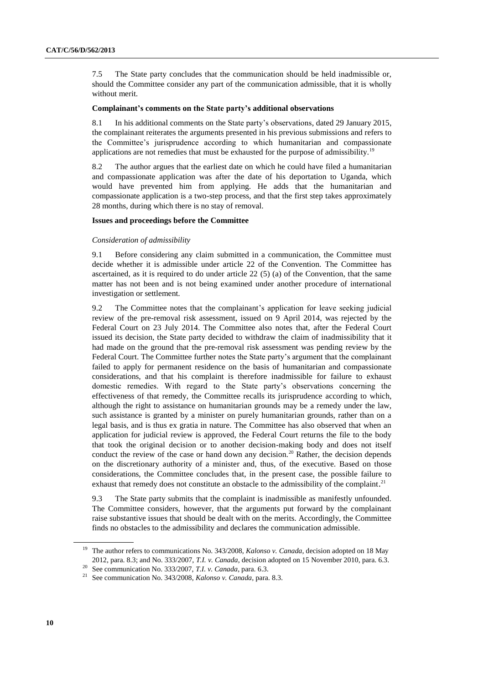7.5 The State party concludes that the communication should be held inadmissible or, should the Committee consider any part of the communication admissible, that it is wholly without merit.

### **Complainant's comments on the State party's additional observations**

8.1 In his additional comments on the State party's observations, dated 29 January 2015, the complainant reiterates the arguments presented in his previous submissions and refers to the Committee's jurisprudence according to which humanitarian and compassionate applications are not remedies that must be exhausted for the purpose of admissibility.<sup>19</sup>

8.2 The author argues that the earliest date on which he could have filed a humanitarian and compassionate application was after the date of his deportation to Uganda, which would have prevented him from applying. He adds that the humanitarian and compassionate application is a two-step process, and that the first step takes approximately 28 months, during which there is no stay of removal.

### **Issues and proceedings before the Committee**

### *Consideration of admissibility*

9.1 Before considering any claim submitted in a communication, the Committee must decide whether it is admissible under article 22 of the Convention. The Committee has ascertained, as it is required to do under article  $22(5)$  (a) of the Convention, that the same matter has not been and is not being examined under another procedure of international investigation or settlement.

9.2 The Committee notes that the complainant's application for leave seeking judicial review of the pre-removal risk assessment, issued on 9 April 2014, was rejected by the Federal Court on 23 July 2014. The Committee also notes that, after the Federal Court issued its decision, the State party decided to withdraw the claim of inadmissibility that it had made on the ground that the pre-removal risk assessment was pending review by the Federal Court. The Committee further notes the State party's argument that the complainant failed to apply for permanent residence on the basis of humanitarian and compassionate considerations, and that his complaint is therefore inadmissible for failure to exhaust domestic remedies. With regard to the State party's observations concerning the effectiveness of that remedy, the Committee recalls its jurisprudence according to which, although the right to assistance on humanitarian grounds may be a remedy under the law, such assistance is granted by a minister on purely humanitarian grounds, rather than on a legal basis, and is thus ex gratia in nature. The Committee has also observed that when an application for judicial review is approved, the Federal Court returns the file to the body that took the original decision or to another decision-making body and does not itself conduct the review of the case or hand down any decision.<sup>20</sup> Rather, the decision depends on the discretionary authority of a minister and, thus, of the executive. Based on those considerations, the Committee concludes that, in the present case, the possible failure to exhaust that remedy does not constitute an obstacle to the admissibility of the complaint.<sup>21</sup>

9.3 The State party submits that the complaint is inadmissible as manifestly unfounded. The Committee considers, however, that the arguments put forward by the complainant raise substantive issues that should be dealt with on the merits. Accordingly, the Committee finds no obstacles to the admissibility and declares the communication admissible.

<sup>&</sup>lt;sup>19</sup> The author refers to communications No. 343/2008, *Kalonso v. Canada*, decision adopted on 18 May 2012, para. 8.3; and No. 333/2007, *T.I. v. Canada*, decision adopted on 15 November 2010, para. 6.3.

<sup>20</sup> See communication No. 333/2007, *T.I. v. Canada*, para. 6.3.

<sup>21</sup> See communication No. 343/2008, *Kalonso v. Canada*, para. 8.3.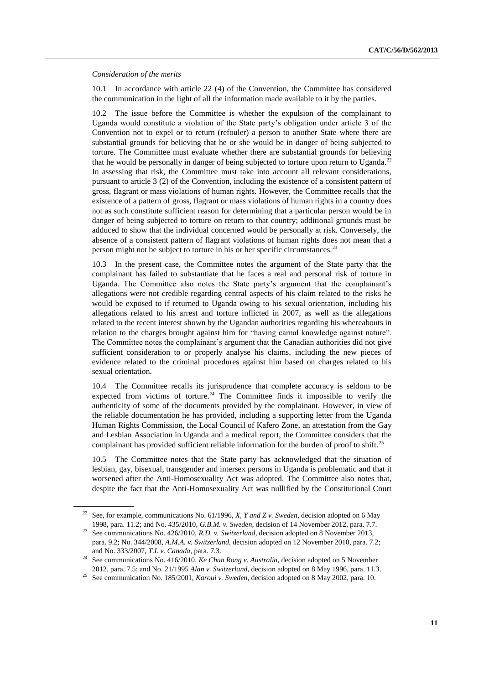*Consideration of the merits* 

10.1 In accordance with article 22 (4) of the Convention, the Committee has considered the communication in the light of all the information made available to it by the parties.

10.2 The issue before the Committee is whether the expulsion of the complainant to Uganda would constitute a violation of the State party's obligation under article 3 of the Convention not to expel or to return (refouler) a person to another State where there are substantial grounds for believing that he or she would be in danger of being subjected to torture. The Committee must evaluate whether there are substantial grounds for believing that he would be personally in danger of being subjected to torture upon return to Uganda.<sup>22</sup> In assessing that risk, the Committee must take into account all relevant considerations, pursuant to article 3 (2) of the Convention, including the existence of a consistent pattern of gross, flagrant or mass violations of human rights. However, the Committee recalls that the existence of a pattern of gross, flagrant or mass violations of human rights in a country does not as such constitute sufficient reason for determining that a particular person would be in danger of being subjected to torture on return to that country; additional grounds must be adduced to show that the individual concerned would be personally at risk. Conversely, the absence of a consistent pattern of flagrant violations of human rights does not mean that a person might not be subject to torture in his or her specific circumstances.<sup>23</sup>

In the present case, the Committee notes the argument of the State party that the complainant has failed to substantiate that he faces a real and personal risk of torture in Uganda. The Committee also notes the State party's argument that the complainant's allegations were not credible regarding central aspects of his claim related to the risks he would be exposed to if returned to Uganda owing to his sexual orientation, including his allegations related to his arrest and torture inflicted in 2007, as well as the allegations related to the recent interest shown by the Ugandan authorities regarding his whereabouts in relation to the charges brought against him for "having carnal knowledge against nature". The Committee notes the complainant's argument that the Canadian authorities did not give sufficient consideration to or properly analyse his claims, including the new pieces of evidence related to the criminal procedures against him based on charges related to his sexual orientation.

10.4 The Committee recalls its jurisprudence that complete accuracy is seldom to be expected from victims of torture.<sup>24</sup> The Committee finds it impossible to verify the authenticity of some of the documents provided by the complainant. However, in view of the reliable documentation he has provided, including a supporting letter from the Uganda Human Rights Commission, the Local Council of Kafero Zone, an attestation from the Gay and Lesbian Association in Uganda and a medical report, the Committee considers that the complainant has provided sufficient reliable information for the burden of proof to shift.<sup>25</sup>

10.5 The Committee notes that the State party has acknowledged that the situation of lesbian, gay, bisexual, transgender and intersex persons in Uganda is problematic and that it worsened after the Anti-Homosexuality Act was adopted. The Committee also notes that, despite the fact that the Anti-Homosexuality Act was nullified by the Constitutional Court

<sup>22</sup> See, for example, communications No. 61/1996, *X, Y and Z v. Sweden*, decision adopted on 6 May 1998, para. 11.2; and No. 435/2010, *G.B.M. v. Sweden,* decision of 14 November 2012, para. 7.7.

<sup>23</sup> See communications No. 426/2010, *R.D. v. Switzerland,* decision adopted on 8 November 2013, para. 9.2; No. 344/2008, *A.M.A. v. Switzerland,* decision adopted on 12 November 2010, para. 7.2; and No. 333/2007, *T.I. v. Canada*, para. 7.3.

<sup>&</sup>lt;sup>24</sup> See communications No. 416/2010, *Ke Chun Rong v. Australia*, decision adopted on 5 November 2012, para. 7.5; and No. 21/1995 *Alan v. Switzerland*, decision adopted on 8 May 1996, para. 11.3.

<sup>25</sup> See communication No. 185/2001, *Karoui v. Sweden*, decision adopted on 8 May 2002, para. 10.